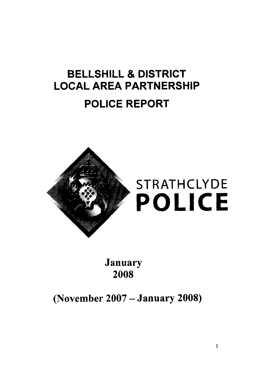# **BELLSHILL** & **DISTRICT LOCAL AREA PARTNERSHIP POLICE REPORT**



**January 2008** 

**(November 2007** - **January 2008)**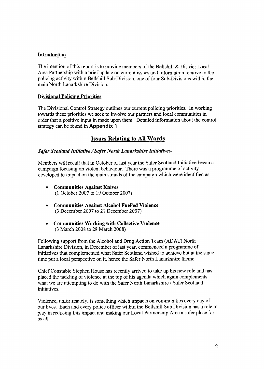#### **Introduction**

The intention of this report is to provide members of the Bellshill & District Local Area Partnership with a brief update on current issues and information relative to the policing activity within Bellshill Sub-Division, one of four Sub-Divisions within the main North Lanarkshire Division.

#### **Divisional Policing Priorities**

The Divisional Control Strategy outlines our current policing priorities. In working towards these priorities we seek to involve our partners and local communities in order that a positive input in made upon them. Detailed information about the control strategy can be found in **Appendix 1.** 

# **Issues Relating to All Wards**

#### *Safer Scotland Initiative /Safer North Lanarkshire Initiative:-*

Members will recall that in October of last year the Safer Scotland Initiative began a campaign focusing on violent behaviour. There was a programme of activity developed to impact on the main strands of the campaign which were identified as

- *<sup>0</sup>***Communities Against Knives**  (1 October 2007 to 19 October 2007)
- *<sup>0</sup>***Communities Against Alcohol Fuelled Violence**  (3 December 2007 to 21 December 2007)
- *0* **Communities Working with Collective Violence**  (3 March 2008 to 28 March 2008)

Following support from the Alcohol and Drug Action Team (ADAT) North Lanarkshire Division, in December of last year, commenced a programme of initiatives that complemented what Safer Scotland wished to achieve but at the same time put a local perspective on it, hence the Safer North Lanarkshire theme.

Chief Constable Stephen House has recently arrived to take up his new role and has placed the tackling of violence at the top of his agenda which again complements what we are attempting to do with the Safer North Lanarkshire / Safer Scotland initiatives.

Violence, unfortunately, is something which impacts on communities every day of our lives. Each and every police officer within the Bellshill Sub Division has a role to play in reducing this impact and making our Local Partnership Area a safer place for us all.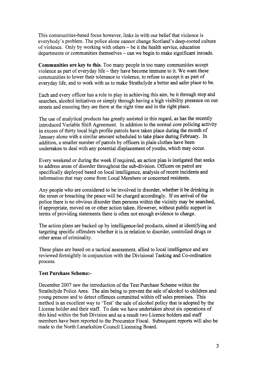This communities-based focus however, links in with our belief that violence is everybody's problem. The police alone cannot change Scotland's deep-rooted culture of violence. Only by working with others - be it the health service, education departments or communities themselves – can we begin to make significant inroads.

**Communities are key to this.** Too many people in too many communities accept violence as part of everyday life – they have become immune to it. We want these communities to lower their tolerance to violence, to refuse to accept it as part of everyday life, and to work with us to make Strathclyde a better and safer place to be.

Each and every officer has a role to play in achieving this aim, be it through stop and searches, alcohol initiatives or simply through having a high visibility presence on our streets and ensuring they are there at the right time and in the right place.

The use of analytical products has greatly assisted in this regard, as has the recently introduced Variable Shift Agreement, In addition to the normal core policing activity in excess of thirty local high profile patrols have taken place during the month of January alone with a similar amount scheduled to take place during February. In addition, a smaller number of patrols by officers in plain clothes have been undertaken to deal with any potential displacement of youths, which may occur.

Every weekend or during the week if required, an action plan is instigated that seeks to address areas of disorder throughout the sub-division. Officers on patrol are specifically deployed based on local intelligence, analysis of recent incidents and information that may come from Local Members or concerned residents.

Any people who are considered to be involved in disorder, whether it be drinking in the street or breaching the peace will be charged accordingly. If on arrival of the police there is no obvious disorder then persons within the vicinity may be searched, if appropriate, moved on or other action taken. However, without public support in terms of providing statements there is often not enough evidence to charge.

The action plans are backed up by intelligence-led products, aimed at identifying and targeting specific offenders whether it is in relation to disorder, controlled drugs or other areas of criminality.

These plans are based on a tactical assessment, allied to local intelligence and are reviewed fortnightly in conjunction with the Divisional Tasking and Co-ordination process.

#### **Test Purchase Scheme:-**

December 2007 saw the introduction of the Test Purchase Scheme within the Strathclyde Police Area. The aim being to prevent the sale of alcohol to children and young persons and to detect offences committed within off sales premises. This method is an excellent way to 'Test' the sale of alcohol policy that is adopted by the License holder and their staff. To date we have undertaken about six operations of this kind within the Sub Division and as a result two Licence holders and staff members have been reported to the Procurator Fiscal. Subsequent reports will also be made to the North Lanarkshire Council Licensing Board.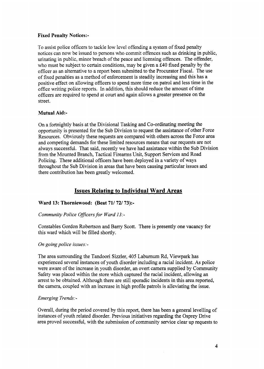#### **Fixed Penalty Notices:-**

To assist police officers to tackle low level offending a system of fixed penalty notices can now be issued to persons who commit offences such as drinking in public, urinating in public, minor breach of the peace and licensing offences. The offender, who must be subject to certain conditions, may be given a **E40** fixed penalty by the officer as an alternative to a report been submitted to the Procurator Fiscal. The use of fixed penalties as a method of enforcement is steadily increasing and this has a positive effect on allowing officers to spend more time on patrol and less time in the office writing police reports. In addition, this should reduce the amount of time officers are required to spend at court and again allows a greater presence on the street.

#### **Mutual Aid:-**

On a fortnightly basis at the Divisional Tasking and Co-ordinating meeting the opportunity is presented for the Sub Division to request the assistance of other Force Resources. Obviously these requests are compared with others across the Force area and competing demands for these limited resources means that our requests are not always successful. That said, recently we have had assistance within the Sub Division from the Mounted Branch, Tactical Firearms Unit, Support Services and Road Policing. These additional officers have been deployed in a variety of ways throughout the Sub Division in areas that have been causing particular issues and there contribution has been greatly welcomed.

# **Issues Relatinp to Individual Ward Areas**

#### **Ward 13: Thorniewood: (Beat 71/ 72/ 73):-**

#### *Community Police Officers for Ward 13:-*

Constables Gordon Robertson and Barry Scott. There is presently one vacancy for this ward which will be filled shortly,

#### *On going police issues:-*

The area surrounding the Tandoori Sizzler, 405 Laburnum Rd, Viewpark has experienced several instances of youth disorder including a racial incident. **As** police were aware of the increase in youth disorder, an overt camera supplied by Community Safety was placed within the store which captured the racial incident, allowing an arrest to be obtained. Although there are still sporadic incidents in this area reported, the camera, coupled with an increase in high profile patrols is alleviating the issue.

#### *Emerging Trends:-*

Overall, during the period covered by this report, there has been a general levelling of instances of youth related disorder. Previous initiatives regarding the Osprey Drive area proved successful, with the submission of community service clear up requests to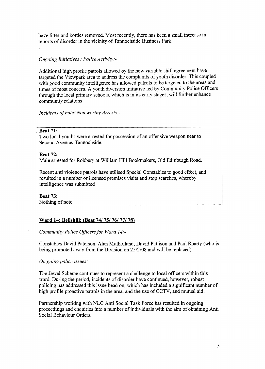have litter and bottles removed. Most recently, there has been a small increase in reports of disorder in the vicinity of Tannochside Business Park

#### *Ongoing Initiatives /Police Activity:-*

have litter and heatlest renoved. Most recently, there has been a small increases in<br>equation of districts in the vicinity of languable Business Park<br>
Organization of a finite and the state of the control of the new varia Additional high profile patrols allowed by the new variable shift agreement have targeted the Viewpark area to address the complaints of youth disorder. This coupled with good community intelligence has allowed patrols to be targeted to the areas and times of most concern. **A** youth diversion initiative led by Community Police Officers through the local primary schools, which is in its early stages, will further enhance community relations

*Incidents of note/ Noteworthy Arrests:-* 

#### **Beat 71:**

Two local youths were arrested for possession of an offensive weapon near to Second Avenue, Tannochside.

#### **Beat 72:**

Male arrested for Robbery at William Hill Bookmakers, Old Edinburgh Road.

Recent anti violence patrols have utilised Special Constables to good effect, and resulted in a number of licensed premises visits and stop searches, whereby intelligence was submitted

# **Beat 73:**

#### **Ward 14: Bellshill: (Beat 74/ 75/ 76/ 77/ 78)**

*Community Police Officers for Ward 14:-* 

Constables David Paterson, Alan Mulholland, David Pattison and Paul Roarty (who is being promoted away from the Division on **25/2/08** and will be replaced)

#### *On going police issues:-*

The Jewel Scheme continues to represent a challenge to local officers within this ward. During the period, incidents of disorder have continued, however, robust policing has addressed this issue head on, which has included a significant number of high profile proactive patrols in the area, and the use of CCTV, and mutual aid.

Partnership working with NLC Anti Social Task Force has resulted in ongoing proceedings and enquiries into a number of individuals with the aim of obtaining Anti Social Behaviour Orders.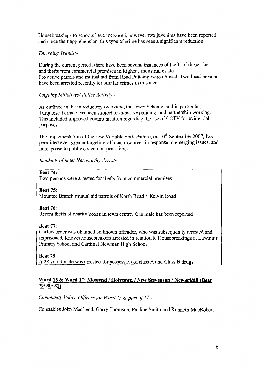Housebreakings to schools have increased, however two juveniles have been reported and since their apprehension, this type of crime has seen a significant reduction.

# *Emerging Trends:-*

During the current period, there have been several instances of thefts of diesel fuel, and thefts from commercial premises in Righead industrial estate. Pro active patrols and mutual aid from Road Policing were utilised. Two local persons have been arrested recently for similar crimes in this area.

# *Ongoing Initiatives/ Police Activity:* -

**As** outlined in the introductory overview, the Jewel Scheme, and in particular, Turquoise Terrace has been subject to intensive policing, and partnership working. This included improved communication regarding the use of CCTV for evidential purposes.

The implementation of the new Variable Shift Pattern, on  $10^{th}$  September 2007, has permitted even greater targeting of local resources in response to emerging issues, and in response to public concern at peak times.

*Incidents of note/ Noteworthy Arrests:-* 

#### **Beat 74:**

Two persons were arrested for thefts from commercial premises

**Beat 75:**  Mounted Branch mutual aid patrols of North Road / Kelvin Road

**Beat 76:**  Recent thefts of charity boxes in town centre. One male has been reported

#### **Beat 77:**

Curfew order was obtained on known offender, who was subsequently arrested and imprisoned. Known housebreakers arrested in relation to Housebreakings at Lawmuir Primary School and Cardinal Newman High School

**Beat 78: A 28** yr old male was arrested for possession of class **A** and Class B drugs

# **Ward 15** & **Ward 17: Mossend** / **Holvtown** / **New Stevenson** / **Newarthill (Beat**  *791 801* **81)**

*Community Police Officers for Ward 15 & part of 17:-*

Constables John MacLeod, *Gany* Thomson, Pauline Smith and Kenneth MacRobert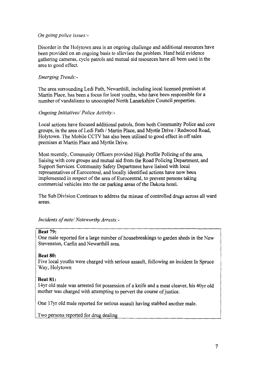#### *On going police issues:-*

Disorder in the Holytown area is an ongoing challenge and additional resources have been provided on an ongoing basis to alleviate the problem. Hand held evidence gathering cameras, cycle patrols and mutual aid resources have all been used in the area to good effect.

#### *Emerging Trends:-*

The area surrounding Ledi Path, Newarthill, including local licensed premises at Martin Place, has been a focus for local youths, who have been responsible for a number of vandalisms to unoccupied North Lanarkshire Council properties.

#### *Ongoing Initiatives/ Police Activity:-*

Local actions have focused additional patrols, from both Community Police and core groups, in the area of Ledi Path / Martin Place, and Myrtle Drive / Redwood Road, Holytown. The Mobile CCTV has also been utilised to good effect in off sales premises at Martin Place and Myrtle Drive.

Most recently, Community Officers provided High Profile Policing of the area, liaising with core groups and mutual aid from the Road Policing Department, and Support Services. Community Safety Department have liaised with local representatives of Eurocentral, and locally identified actions have now been implemented in respect of the area of Eurocentral, to prevent persons taking commercial vehicles into the car parking areas of the Dakota hotel.

The Sub Division Continues to address the misuse of controlled drugs across all ward areas.

*Incidents of note/ Noteworthy Arrests:-* 

#### **Beat 79:**

One male reported for a large number of housebreakings to garden sheds in the New Stevenston, Carfin and Newarthill area.

#### **Beat 80:**

Five local youths were charged with serious assault, following an incident In Spruce Way, Holytown

#### **Beat 81:**

14yr old male was arrested for possession of a knife and a meat cleaver, his 40yr old mother was charged with attempting to pervert the course of justice.

One 17yr old male reported for serious assault having stabbed another male.

Two persons reported for drug dealing 1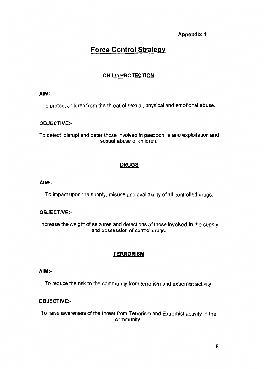# **Appendix 1**

# **Force Control Strategy**

# **CHILD PROTECTION**

# **AIM:-**

To protect children from the threat of sexual, physical and emotional abuse,

# **OBJECTIVE:** -

To detect, disrupt and deter those involved in paedophilia and exploitation and sexual abuse of children.

# **DRUGS**

# **AIM:-**

To impact upon the supply, misuse and availability of all controlled drugs.

# **OBJECTIVE:** -

Increase the weight **of** seizures and detections of those involved in the supply and possession of control drugs.

# **TERRORISM**

# **AIM:-**

To reduce the risk to the community from terrorism and extremist activity.

# **OBJECTIVE:-**

To raise awareness of the threat from Terrorism and Extremist activity in the community.